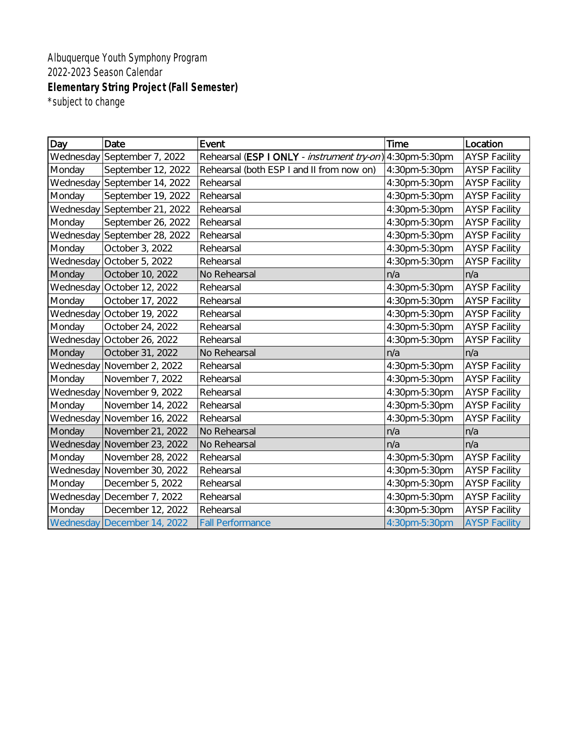Albuquerque Youth Symphony Program 2022-2023 Season Calendar **Elementary String Project (Fall Semester)** \*subject to change

| Day       | Date                        | Event                                                            | Time          | Location             |
|-----------|-----------------------------|------------------------------------------------------------------|---------------|----------------------|
| Wednesday | September 7, 2022           | Rehearsal (ESP I ONLY - <i>instrument try-on</i> ) 4:30pm-5:30pm |               | <b>AYSP Facility</b> |
| Monday    | September 12, 2022          | Rehearsal (both ESP I and II from now on)                        | 4:30pm-5:30pm | <b>AYSP Facility</b> |
| Wednesday | September 14, 2022          | Rehearsal                                                        | 4:30pm-5:30pm | <b>AYSP Facility</b> |
| Monday    | September 19, 2022          | Rehearsal                                                        | 4:30pm-5:30pm | <b>AYSP Facility</b> |
| Wednesday | September 21, 2022          | Rehearsal                                                        | 4:30pm-5:30pm | <b>AYSP Facility</b> |
| Monday    | September 26, 2022          | Rehearsal                                                        | 4:30pm-5:30pm | <b>AYSP Facility</b> |
| Wednesday | September 28, 2022          | Rehearsal                                                        | 4:30pm-5:30pm | <b>AYSP Facility</b> |
| Monday    | October 3, 2022             | Rehearsal                                                        | 4:30pm-5:30pm | <b>AYSP Facility</b> |
| Wednesday | October 5, 2022             | Rehearsal                                                        | 4:30pm-5:30pm | <b>AYSP Facility</b> |
| Monday    | October 10, 2022            | No Rehearsal                                                     | n/a           | n/a                  |
| Wednesday | October 12, 2022            | Rehearsal                                                        | 4:30pm-5:30pm | <b>AYSP Facility</b> |
| Monday    | October 17, 2022            | Rehearsal                                                        | 4:30pm-5:30pm | <b>AYSP Facility</b> |
| Wednesday | October 19, 2022            | Rehearsal                                                        | 4:30pm-5:30pm | <b>AYSP Facility</b> |
| Monday    | October 24, 2022            | Rehearsal                                                        | 4:30pm-5:30pm | <b>AYSP Facility</b> |
| Wednesday | October 26, 2022            | Rehearsal                                                        | 4:30pm-5:30pm | <b>AYSP Facility</b> |
| Monday    | October 31, 2022            | No Rehearsal                                                     | n/a           | n/a                  |
| Wednesday | November 2, 2022            | Rehearsal                                                        | 4:30pm-5:30pm | <b>AYSP Facility</b> |
| Monday    | November 7, 2022            | Rehearsal                                                        | 4:30pm-5:30pm | <b>AYSP Facility</b> |
| Wednesday | November 9, 2022            | Rehearsal                                                        | 4:30pm-5:30pm | <b>AYSP Facility</b> |
| Monday    | November 14, 2022           | Rehearsal                                                        | 4:30pm-5:30pm | <b>AYSP Facility</b> |
| Wednesday | November 16, 2022           | Rehearsal                                                        | 4:30pm-5:30pm | <b>AYSP Facility</b> |
| Monday    | November 21, 2022           | No Rehearsal                                                     | n/a           | n/a                  |
| Wednesday | November 23, 2022           | No Rehearsal                                                     | n/a           | n/a                  |
| Monday    | November 28, 2022           | Rehearsal                                                        | 4:30pm-5:30pm | <b>AYSP Facility</b> |
| Wednesday | November 30, 2022           | Rehearsal                                                        | 4:30pm-5:30pm | <b>AYSP Facility</b> |
| Monday    | December 5, 2022            | Rehearsal                                                        | 4:30pm-5:30pm | <b>AYSP Facility</b> |
| Wednesday | December 7, 2022            | Rehearsal                                                        | 4:30pm-5:30pm | <b>AYSP Facility</b> |
| Monday    | December 12, 2022           | Rehearsal                                                        | 4:30pm-5:30pm | <b>AYSP Facility</b> |
|           | Wednesday December 14, 2022 | <b>Fall Performance</b>                                          | 4:30pm-5:30pm | <b>AYSP Facility</b> |